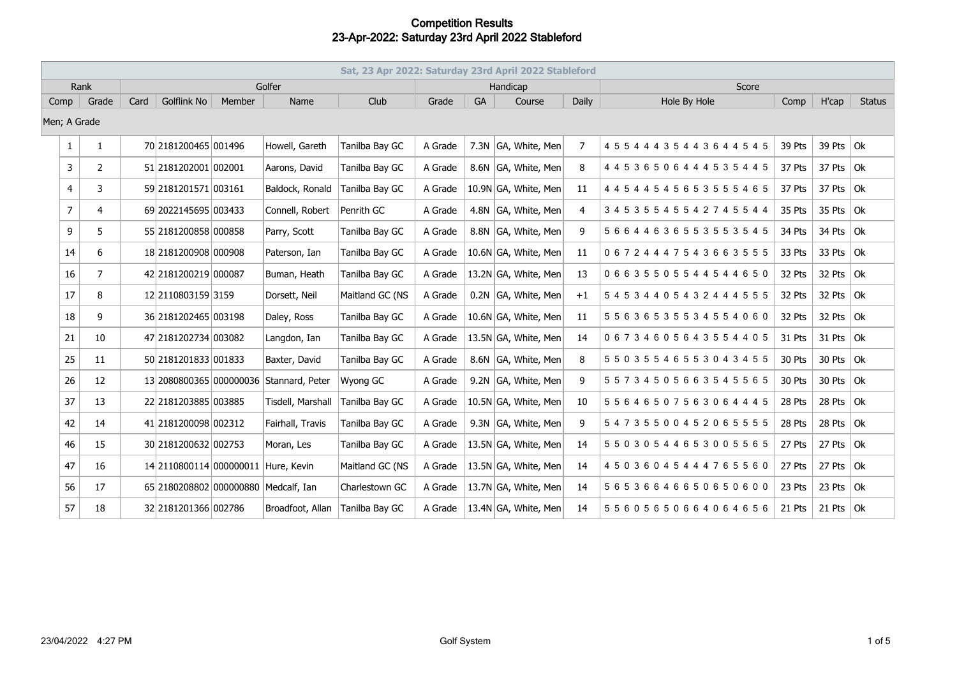|                | Sat, 23 Apr 2022: Saturday 23rd April 2022 Stableford |        |                                     |        |                                      |                 |         |           |                      |                |                                   |        |               |               |
|----------------|-------------------------------------------------------|--------|-------------------------------------|--------|--------------------------------------|-----------------|---------|-----------|----------------------|----------------|-----------------------------------|--------|---------------|---------------|
| Rank           |                                                       | Golfer |                                     |        |                                      |                 |         |           | Handicap             |                | Score                             |        |               |               |
| Grade<br>Comp  |                                                       | Card   | <b>Golflink No</b>                  | Member | Name                                 | Club            | Grade   | <b>GA</b> | Course               | Daily          | Hole By Hole                      | Comp   | H'cap         | <b>Status</b> |
| Men; A Grade   |                                                       |        |                                     |        |                                      |                 |         |           |                      |                |                                   |        |               |               |
| 1              | $\mathbf{1}$                                          |        | 70 2181200465 001496                |        | Howell, Gareth                       | Tanilba Bay GC  | A Grade |           | 7.3N GA, White, Men  | $\overline{7}$ | 4 5 5 4 4 4 3 5 4 4 3 6 4 4 5 4 5 | 39 Pts | 39 Pts $ Ok $ |               |
| 3              | $\overline{2}$                                        |        | 51 2181202001 002001                |        | Aarons, David                        | Tanilba Bay GC  | A Grade |           | 8.6N GA, White, Men  | 8              | 4 4 5 3 6 5 0 6 4 4 4 5 3 5 4 4 5 | 37 Pts | 37 Pts $ $ Ok |               |
| 4              | 3                                                     |        | 59 2181201571 003161                |        | Baldock, Ronald                      | Tanilba Bay GC  | A Grade |           | 10.9N GA, White, Men | 11             | 4 4 5 4 4 5 4 5 6 5 3 5 5 5 4 6 5 | 37 Pts | 37 Pts $ $ Ok |               |
| $\overline{7}$ | $\overline{4}$                                        |        | 69 2022145695 003433                |        | Connell, Robert                      | Penrith GC      | A Grade |           | 4.8N GA, White, Men  | 4              | 3 4 5 3 5 5 4 5 5 4 2 7 4 5 5 4 4 | 35 Pts | 35 Pts $ Ok $ |               |
| 9              | 5                                                     |        | 55 2181200858 000858                |        | Parry, Scott                         | Tanilba Bay GC  | A Grade |           | 8.8N GA, White, Men  | 9              | 56644636553553545                 | 34 Pts | 34 Pts $ Ok $ |               |
| 14             | 6                                                     |        | 18 2181200908 000908                |        | Paterson, Ian                        | Tanilba Bay GC  | A Grade |           | 10.6N GA, White, Men | 11             | 06724447543663555                 | 33 Pts | 33 Pts $ Ok $ |               |
| 16             | $\overline{7}$                                        |        | 42 2181200219 000087                |        | Buman, Heath                         | Tanilba Bay GC  | A Grade |           | 13.2N GA, White, Men | 13             | 06635505544544650                 | 32 Pts | 32 Pts $ Ok $ |               |
| 17             | 8                                                     |        | 12 2110803159 3159                  |        | Dorsett, Neil                        | Maitland GC (NS | A Grade |           | 0.2N GA, White, Men  | $+1$           | 54534405432444555                 | 32 Pts | 32 Pts $ $ Ok |               |
| 18             | 9                                                     |        | 36 2181202465 003198                |        | Daley, Ross                          | Tanilba Bay GC  | A Grade |           | 10.6N GA, White, Men | 11             | 5 5 6 3 6 5 3 5 5 3 4 5 5 4 0 6 0 | 32 Pts | 32 Pts $ Ok $ |               |
| 21             | 10                                                    |        | 47 2181202734 003082                |        | Langdon, Ian                         | Tanilba Bay GC  | A Grade |           | 13.5N GA, White, Men | 14             | 06734605643554405                 | 31 Pts | 31 Pts $ 0k$  |               |
| 25             | 11                                                    |        | 50 2181201833 001833                |        | Baxter, David                        | Tanilba Bay GC  | A Grade |           | 8.6N GA, White, Men  | 8              | 5 5 0 3 5 5 4 6 5 5 3 0 4 3 4 5 5 | 30 Pts | 30 Pts $ Ok $ |               |
| 26             | 12                                                    |        | 13 2080800365 000000036             |        | Stannard, Peter                      | Wyong GC        | A Grade |           | 9.2N GA, White, Men  | 9              | 55734505663545565                 | 30 Pts | 30 Pts $ Ok $ |               |
| 37             | 13                                                    |        | 22 2181203885 003885                |        | Tisdell, Marshall                    | Tanilba Bay GC  | A Grade |           | 10.5N GA, White, Men | 10             | 55646507563064445                 | 28 Pts | 28 Pts $ Ok $ |               |
| 42             | 14                                                    |        | 41 2181200098 002312                |        | Fairhall, Travis                     | Tanilba Bay GC  | A Grade |           | 9.3N GA, White, Men  | 9              | 54735500452065555                 | 28 Pts | 28 Pts $ $ Ok |               |
| 46             | 15                                                    |        | 30 2181200632 002753                |        | Moran, Les                           | Tanilba Bay GC  | A Grade |           | 13.5N GA, White, Men | 14             | 55030544653005565                 | 27 Pts | 27 Pts        | Ok            |
| 47             | 16                                                    |        | 14 2110800114 000000011 Hure, Kevin |        |                                      | Maitland GC (NS | A Grade |           | 13.5N GA, White, Men | 14             | 45036045444765560                 | 27 Pts | 27 Pts $ Ok $ |               |
| 56             | 17                                                    |        |                                     |        | 65 2180208802 000000880 Medcalf, Ian | Charlestown GC  | A Grade |           | 13.7N GA, White, Men | 14             | 56536646650650600                 | 23 Pts | 23 Pts $ Ok$  |               |
| 57             | 18                                                    |        | 32 2181201366 002786                |        | Broadfoot, Allan                     | Tanilba Bay GC  | A Grade |           | 13.4N GA, White, Men | 14             | 55605650664064656                 | 21 Pts | 21 Pts $ Ok$  |               |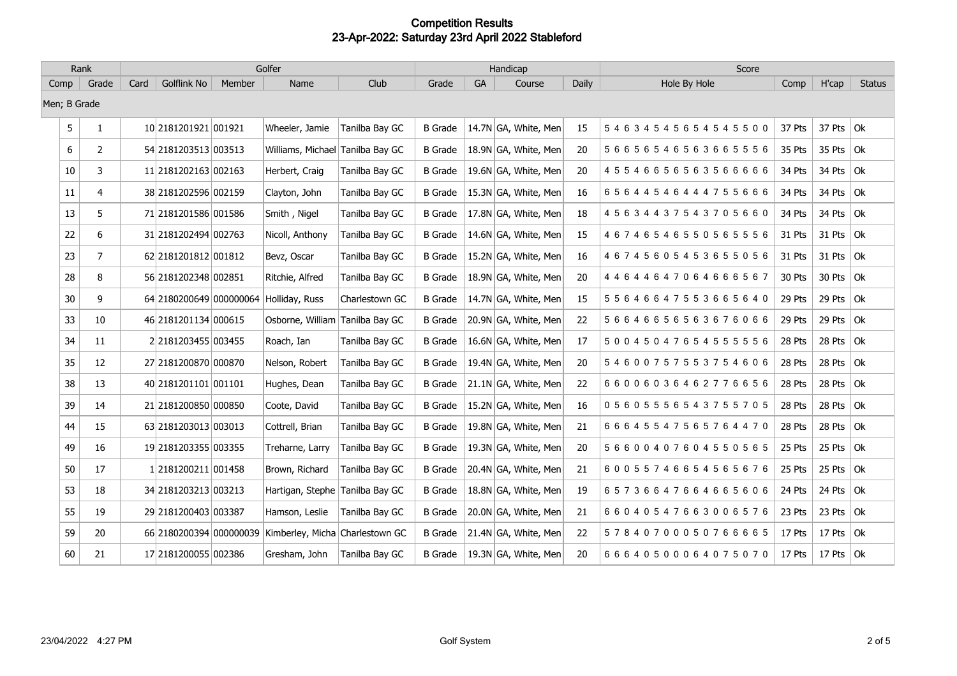| Rank |                | Golfer |                         |        |                                  |                | Handicap       |    |                      |       | Score             |        |                   |               |
|------|----------------|--------|-------------------------|--------|----------------------------------|----------------|----------------|----|----------------------|-------|-------------------|--------|-------------------|---------------|
| Comp | Grade          | Card   | <b>Golflink No</b>      | Member | Name                             | Club           | Grade          | GA | Course               | Daily | Hole By Hole      | Comp   | H'cap             | <b>Status</b> |
|      | Men; B Grade   |        |                         |        |                                  |                |                |    |                      |       |                   |        |                   |               |
| 5    | $\mathbf{1}$   |        | 10 2181201921 001921    |        | Wheeler, Jamie                   | Tanilba Bay GC | <b>B</b> Grade |    | 14.7N GA, White, Men | 15    | 54634545654545500 | 37 Pts | 37 Pts $ Ok $     |               |
| 6    | $\overline{2}$ |        | 54 2181203513 003513    |        | Williams, Michael Tanilba Bay GC |                | <b>B</b> Grade |    | 18.9N GA, White, Men | 20    | 56656546563665556 | 35 Pts | 35 Pts $\vert$ Ok |               |
| 10   | 3              |        | 11 2181202163 002163    |        | Herbert, Craig                   | Tanilba Bay GC | <b>B</b> Grade |    | 19.6N GA, White, Men | 20    | 45546656563566666 | 34 Pts | 34 Pts $\vert$ Ok |               |
| 11   | 4              |        | 38 2181202596 002159    |        | Clayton, John                    | Tanilba Bay GC | <b>B</b> Grade |    | 15.3N GA, White, Men | 16    | 65644546444755666 | 34 Pts | 34 Pts $\vert$ Ok |               |
| 13   | 5              |        | 71 2181201586 001586    |        | Smith, Nigel                     | Tanilba Bay GC | <b>B</b> Grade |    | 17.8N GA, White, Men | 18    | 45634437543705660 | 34 Pts | 34 Pts $ $ Ok     |               |
| 22   | 6              |        | 31 2181202494 002763    |        | Nicoll, Anthony                  | Tanilba Bay GC | B Grade        |    | 14.6N GA, White, Men | 15    | 46746546550565556 | 31 Pts | 31 Pts $ 0k $     |               |
| 23   | $\overline{7}$ |        | 62 2181201812 001812    |        | Bevz, Oscar                      | Tanilba Bay GC | B Grade        |    | 15.2N GA, White, Men | 16    | 46745605453655056 | 31 Pts | 31 Pts $ Ok$      |               |
| 28   | 8              |        | 56 2181202348 002851    |        | Ritchie, Alfred                  | Tanilba Bay GC | B Grade        |    | 18.9N GA, White, Men | 20    | 44644647064666567 | 30 Pts | 30 Pts $ Ok $     |               |
| 30   | 9              |        | 64 2180200649 000000064 |        | Holliday, Russ                   | Charlestown GC | B Grade        |    | 14.7N GA, White, Men | 15    | 55646647553665640 | 29 Pts | 29 Pts $ Ok $     |               |
| 33   | 10             |        | 46 2181201134 000615    |        | Osborne, William Tanilba Bay GC  |                | <b>B</b> Grade |    | 20.9N GA, White, Men | 22    | 56646656563676066 | 29 Pts | 29 Pts $ Ok $     |               |
| 34   | 11             |        | 2 2181203455 003455     |        | Roach, Ian                       | Tanilba Bay GC | <b>B</b> Grade |    | 16.6N GA, White, Men | 17    | 50045047654555556 | 28 Pts | 28 Pts            | Ok            |
| 35   | 12             |        | 27 2181200870 000870    |        | Nelson, Robert                   | Tanilba Bay GC | <b>B</b> Grade |    | 19.4N GA, White, Men | 20    | 54600757553754606 | 28 Pts | 28 Pts $\vert$ Ok |               |
| 38   | 13             |        | 40 2181201101 001101    |        | Hughes, Dean                     | Tanilba Bay GC | <b>B</b> Grade |    | 21.1N GA, White, Men | 22    | 66006036462776656 | 28 Pts | 28 Pts $\vert$ Ok |               |
| 39   | 14             |        | 21 2181200850 000850    |        | Coote, David                     | Tanilba Bay GC | B Grade        |    | 15.2N GA, White, Men | 16    | 05605556543755705 | 28 Pts | 28 Pts $ Ok $     |               |
| 44   | 15             |        | 63 2181203013 003013    |        | Cottrell, Brian                  | Tanilba Bay GC | <b>B</b> Grade |    | 19.8N GA, White, Men | 21    | 66645547565764470 | 28 Pts | 28 Pts            | Ok            |
| 49   | 16             |        | 19 2181203355 003355    |        | Treharne, Larry                  | Tanilba Bay GC | B Grade        |    | 19.3N GA, White, Men | 20    | 56600407604550565 | 25 Pts | 25 Pts $ Ok $     |               |
| 50   | 17             |        | 12181200211 001458      |        | Brown, Richard                   | Tanilba Bay GC | <b>B</b> Grade |    | 20.4N GA, White, Men | 21    | 60055746654565676 | 25 Pts | 25 Pts $ Ok $     |               |
| 53   | 18             |        | 34 2181203213 003213    |        | Hartigan, Stephe Tanilba Bay GC  |                | <b>B</b> Grade |    | 18.8N GA, White, Men | 19    | 65736647664665606 | 24 Pts | 24 Pts $ Ok $     |               |
| 55   | 19             |        | 29 2181200403 003387    |        | Hamson, Leslie                   | Tanilba Bay GC | <b>B</b> Grade |    | 20.0N GA, White, Men | 21    | 66040547663006576 | 23 Pts | 23 Pts $ $ Ok     |               |
| 59   | 20             |        | 66 2180200394 000000039 |        | Kimberley, Micha Charlestown GC  |                | B Grade        |    | 21.4N GA, White, Men | 22    | 57840700050766665 | 17 Pts | 17 Pts $ 0k $     |               |
| 60   | 21             |        | 17 2181200055 002386    |        | Gresham, John                    | Tanilba Bay GC | B Grade        |    | 19.3N GA, White, Men | 20    | 66640500064075070 | 17 Pts | 17 Pts $ 0k $     |               |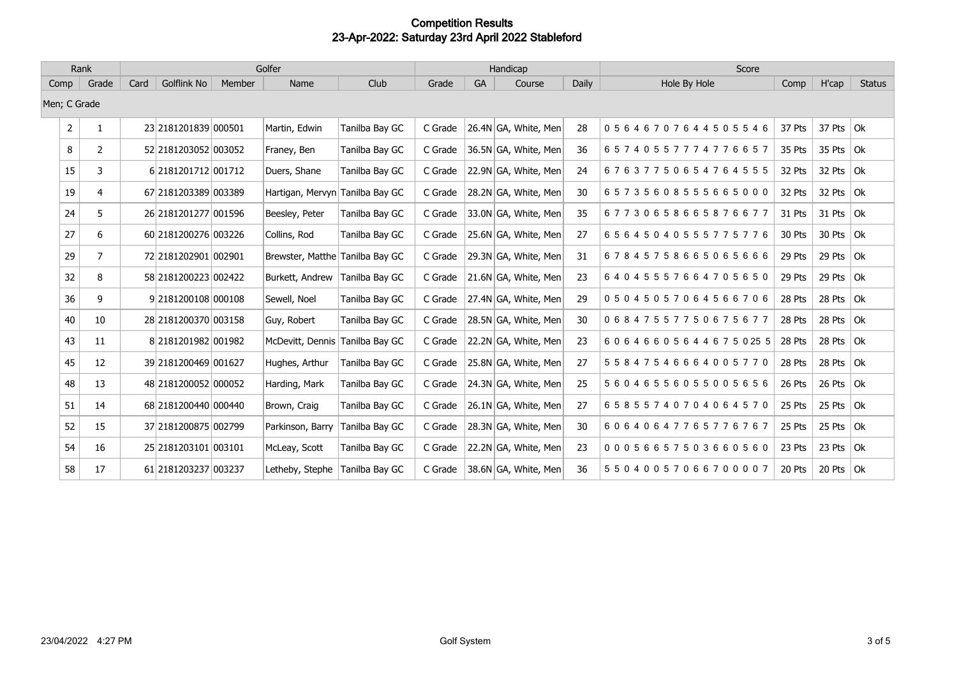| Rank          |                | Golfer |                        |        |                                 |                |         |    | Handicap             |       | Score              |        |               |               |
|---------------|----------------|--------|------------------------|--------|---------------------------------|----------------|---------|----|----------------------|-------|--------------------|--------|---------------|---------------|
| Grade<br>Comp |                | Card   | Golflink No            | Member | Name                            | Club           | Grade   | GA | Course               | Daily | Hole By Hole       | Comp   | H'cap         | <b>Status</b> |
| Men; C Grade  |                |        |                        |        |                                 |                |         |    |                      |       |                    |        |               |               |
| 2             |                |        | 23 218 120 1839 000501 |        | Martin, Edwin                   | Tanilba Bay GC | C Grade |    | 26.4N GA, White, Men | 28    | 05646707644505546  | 37 Pts | 37 Pts $ $ Ok |               |
| 8             | $\overline{2}$ |        | 52 2181203052 003052   |        | Franey, Ben                     | Tanilba Bay GC | C Grade |    | 36.5N GA, White, Men | 36    | 65740557774776657  | 35 Pts | 35 Pts $ $ Ok |               |
| 15            | 3              |        | 6 2181201712 001712    |        | Duers, Shane                    | Tanilba Bay GC | C Grade |    | 22.9N GA, White, Men | 24    | 67637750654764555  | 32 Pts | 32 Pts $ Ok $ |               |
| 19            | 4              |        | 67 2181203389 003389   |        | Hartigan, Mervyn Tanilba Bay GC |                | C Grade |    | 28.2N GA, White, Men | 30    | 65735608555665000  | 32 Pts | 32 Pts $ Ok $ |               |
| 24            | 5              |        | 26 2181201277 001596   |        | Beesley, Peter                  | Tanilba Bay GC | C Grade |    | 33.0N GA, White, Men | 35    | 67730658665876677  | 31 Pts | 31 Pts $ Ok$  |               |
| 27            | 6              |        | 60 2181200276 003226   |        | Collins, Rod                    | Tanilba Bay GC | C Grade |    | 25.6N GA, White, Men | 27    | 65645040555775776  | 30 Pts | 30 Pts $ Ok$  |               |
| 29            | 7              |        | 72 2181202901 002901   |        | Brewster, Matthe Tanilba Bay GC |                | C Grade |    | 29.3N GA, White, Men | 31    | 67845758665065666  | 29 Pts | 29 Pts $ Ok$  |               |
| 32            | 8              |        | 58 2181200223 002422   |        | Burkett, Andrew                 | Tanilba Bay GC | C Grade |    | 21.6N GA, White, Men | 23    | 64045557664705650  | 29 Pts | 29 Pts $ Ok$  |               |
| 36            | 9              |        | 9 2181200108 000108    |        | Sewell, Noel                    | Tanilba Bay GC | C Grade |    | 27.4N GA, White, Men | 29    | 05045057064566706  | 28 Pts | 28 Pts        | Ok            |
| 40            | 10             |        | 28 2181200370 003158   |        | Guy, Robert                     | Tanilba Bay GC | C Grade |    | 28.5N GA, White, Men | 30    | 06847557750675677  | 28 Pts | 28 Pts $ Ok$  |               |
| 43            | 11             |        | 8 2181201982 001982    |        | McDevitt, Dennis                | Tanilba Bay GC | C Grade |    | 22.2N GA, White, Men | 23    | 606466056446750255 | 28 Pts | 28 Pts $ $ Ok |               |
| 45            | 12             |        | 39 2181200469 001627   |        | Hughes, Arthur                  | Tanilba Bay GC | C Grade |    | 25.8N GA, White, Men | 27    | 55847546664005770  | 28 Pts | 28 Pts $ $ Ok |               |
| 48            | 13             |        | 48 2181200052 000052   |        | Harding, Mark                   | Tanilba Bay GC | C Grade |    | 24.3N GA, White, Men | 25    | 56046556055005656  | 26 Pts | 26 Pts $ Ok $ |               |
| 51            | 14             |        | 68 2181200440 000440   |        | Brown, Craig                    | Tanilba Bay GC | C Grade |    | 26.1N GA, White, Men | 27    | 65855740704064570  | 25 Pts | 25 Pts $ Ok$  |               |
| 52            | 15             |        | 37 2181200875 002799   |        | Parkinson, Barry                | Tanilba Bay GC | C Grade |    | 28.3N GA, White, Men | 30    | 60640647765776767  | 25 Pts | 25 Pts $ Ok $ |               |
| 54            | 16             |        | 25 2181203101 003101   |        | McLeay, Scott                   | Tanilba Bay GC | C Grade |    | 22.2N GA, White, Men | 23    | 00056657503660560  | 23 Pts | 23 Pts $ Ok $ |               |
| 58            | 17             |        | 61 2181203237 003237   |        | Letheby, Stephe                 | Tanilba Bay GC | C Grade |    | 38.6N GA, White, Men | 36    | 55040057066700007  | 20 Pts | 20 Pts $ Ok $ |               |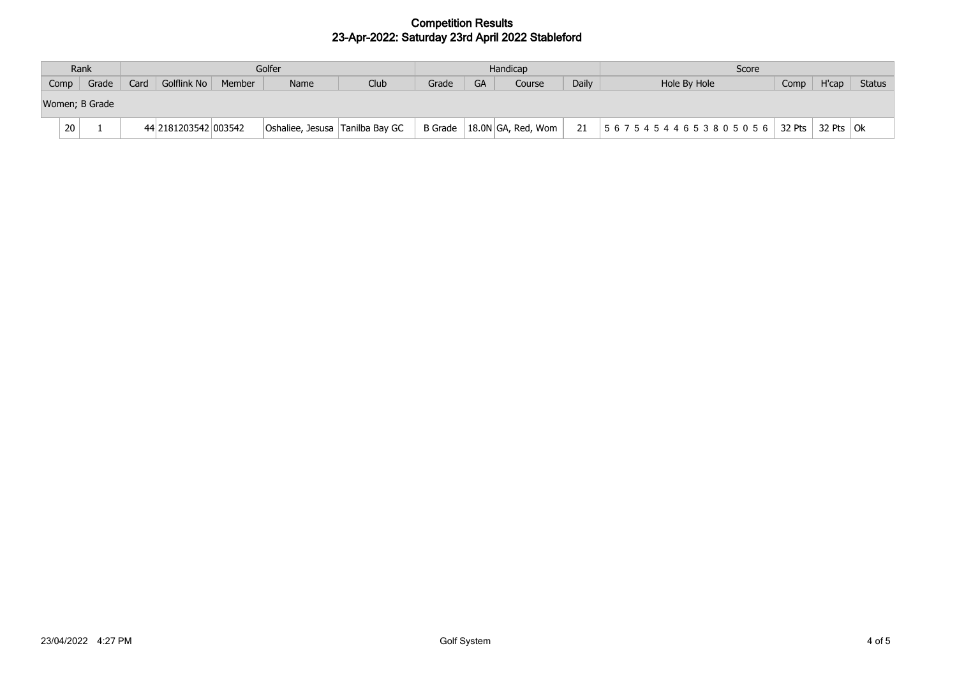|      | Rank           |      | Golfer               |        |                                 |      |       |    | Handicap                     |       | Score                                      |      |              |               |
|------|----------------|------|----------------------|--------|---------------------------------|------|-------|----|------------------------------|-------|--------------------------------------------|------|--------------|---------------|
| Comp | Grade          | Card | Golflink No          | Member | Name                            | Club | Grade | GA | Course                       | Daily | Hole By Hole                               | Comp | H'cap        | <b>Status</b> |
|      | Women; B Grade |      |                      |        |                                 |      |       |    |                              |       |                                            |      |              |               |
| 20   |                |      | 44 2181203542 003542 |        | Oshaliee, Jesusa Tanilba Bay GC |      |       |    | B Grade   18.0N GA, Red, Wom | 21    | 5 6 7 5 4 5 4 4 6 5 3 8 0 5 0 5 6   32 Pts |      | 32 Pts $ Ok$ |               |